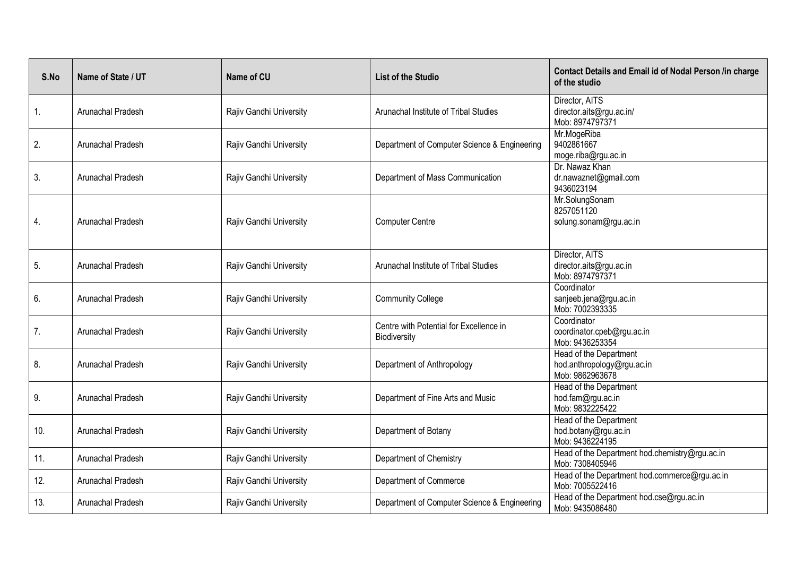| S.No | Name of State / UT | Name of CU              | <b>List of the Studio</b>                               | <b>Contact Details and Email id of Nodal Person /in charge</b><br>of the studio |
|------|--------------------|-------------------------|---------------------------------------------------------|---------------------------------------------------------------------------------|
| 1.   | Arunachal Pradesh  | Rajiv Gandhi University | Arunachal Institute of Tribal Studies                   | Director, AITS<br>director.aits@rgu.ac.in/<br>Mob: 8974797371                   |
| 2.   | Arunachal Pradesh  | Rajiv Gandhi University | Department of Computer Science & Engineering            | Mr.MogeRiba<br>9402861667<br>moge.riba@rgu.ac.in                                |
| 3.   | Arunachal Pradesh  | Rajiv Gandhi University | Department of Mass Communication                        | Dr. Nawaz Khan<br>dr.nawaznet@gmail.com<br>9436023194                           |
| 4.   | Arunachal Pradesh  | Rajiv Gandhi University | <b>Computer Centre</b>                                  | Mr.SolungSonam<br>8257051120<br>solung.sonam@rgu.ac.in                          |
| 5.   | Arunachal Pradesh  | Rajiv Gandhi University | Arunachal Institute of Tribal Studies                   | Director, AITS<br>director.aits@rgu.ac.in<br>Mob: 8974797371                    |
| 6.   | Arunachal Pradesh  | Rajiv Gandhi University | <b>Community College</b>                                | Coordinator<br>sanjeeb.jena@rgu.ac.in<br>Mob: 7002393335                        |
| 7.   | Arunachal Pradesh  | Rajiv Gandhi University | Centre with Potential for Excellence in<br>Biodiversity | Coordinator<br>coordinator.cpeb@rgu.ac.in<br>Mob: 9436253354                    |
| 8.   | Arunachal Pradesh  | Rajiv Gandhi University | Department of Anthropology                              | Head of the Department<br>hod.anthropology@rgu.ac.in<br>Mob: 9862963678         |
| 9.   | Arunachal Pradesh  | Rajiv Gandhi University | Department of Fine Arts and Music                       | Head of the Department<br>hod.fam@rgu.ac.in<br>Mob: 9832225422                  |
| 10.  | Arunachal Pradesh  | Rajiv Gandhi University | Department of Botany                                    | Head of the Department<br>hod.botany@rgu.ac.in<br>Mob: 9436224195               |
| 11.  | Arunachal Pradesh  | Rajiv Gandhi University | Department of Chemistry                                 | Head of the Department hod.chemistry@rgu.ac.in<br>Mob: 7308405946               |
| 12.  | Arunachal Pradesh  | Rajiv Gandhi University | Department of Commerce                                  | Head of the Department hod.commerce@rgu.ac.in<br>Mob: 7005522416                |
| 13.  | Arunachal Pradesh  | Rajiv Gandhi University | Department of Computer Science & Engineering            | Head of the Department hod.cse@rgu.ac.in<br>Mob: 9435086480                     |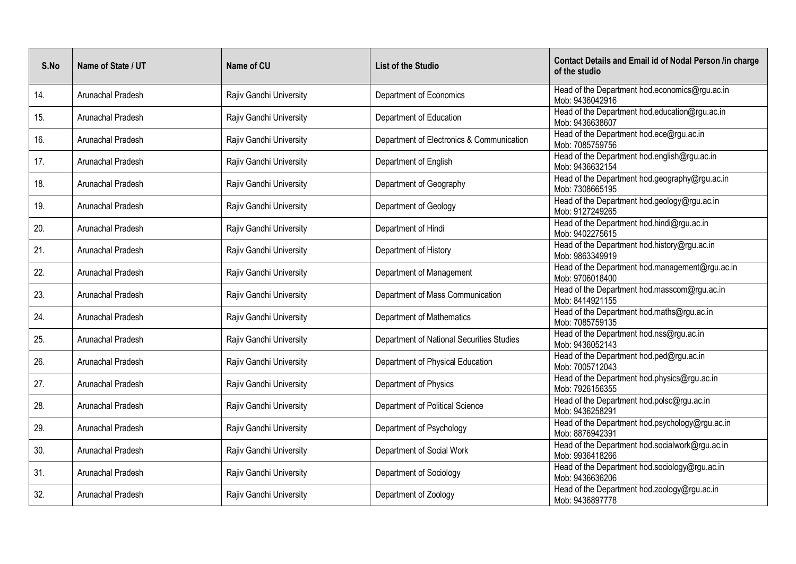| S.No | Name of State / UT | Name of CU              | <b>List of the Studio</b>                 | Contact Details and Email id of Nodal Person /in charge<br>of the studio |
|------|--------------------|-------------------------|-------------------------------------------|--------------------------------------------------------------------------|
| 14.  | Arunachal Pradesh  | Rajiv Gandhi University | Department of Economics                   | Head of the Department hod.economics@rgu.ac.in<br>Mob: 9436042916        |
| 15.  | Arunachal Pradesh  | Rajiv Gandhi University | Department of Education                   | Head of the Department hod.education@rgu.ac.in<br>Mob: 9436638607        |
| 16.  | Arunachal Pradesh  | Rajiv Gandhi University | Department of Electronics & Communication | Head of the Department hod.ece@rgu.ac.in<br>Mob: 7085759756              |
| 17.  | Arunachal Pradesh  | Rajiv Gandhi University | Department of English                     | Head of the Department hod.english@rgu.ac.in<br>Mob: 9436632154          |
| 18.  | Arunachal Pradesh  | Rajiv Gandhi University | Department of Geography                   | Head of the Department hod.geography@rgu.ac.in<br>Mob: 7308665195        |
| 19.  | Arunachal Pradesh  | Rajiv Gandhi University | Department of Geology                     | Head of the Department hod.geology@rgu.ac.in<br>Mob: 9127249265          |
| 20.  | Arunachal Pradesh  | Rajiv Gandhi University | Department of Hindi                       | Head of the Department hod.hindi@rgu.ac.in<br>Mob: 9402275615            |
| 21.  | Arunachal Pradesh  | Rajiv Gandhi University | Department of History                     | Head of the Department hod.history@rgu.ac.in<br>Mob: 9863349919          |
| 22.  | Arunachal Pradesh  | Rajiv Gandhi University | Department of Management                  | Head of the Department hod.management@rgu.ac.in<br>Mob: 9706018400       |
| 23.  | Arunachal Pradesh  | Rajiv Gandhi University | Department of Mass Communication          | Head of the Department hod.masscom@rgu.ac.in<br>Mob: 8414921155          |
| 24.  | Arunachal Pradesh  | Rajiv Gandhi University | Department of Mathematics                 | Head of the Department hod.maths@rgu.ac.in<br>Mob: 7085759135            |
| 25.  | Arunachal Pradesh  | Rajiv Gandhi University | Department of National Securities Studies | Head of the Department hod.nss@rgu.ac.in<br>Mob: 9436052143              |
| 26.  | Arunachal Pradesh  | Rajiv Gandhi University | Department of Physical Education          | Head of the Department hod.ped@rgu.ac.in<br>Mob: 7005712043              |
| 27.  | Arunachal Pradesh  | Rajiv Gandhi University | Department of Physics                     | Head of the Department hod.physics@rgu.ac.in<br>Mob: 7926156355          |
| 28.  | Arunachal Pradesh  | Rajiv Gandhi University | Department of Political Science           | Head of the Department hod.polsc@rgu.ac.in<br>Mob: 9436258291            |
| 29.  | Arunachal Pradesh  | Rajiv Gandhi University | Department of Psychology                  | Head of the Department hod psychology@rgu.ac.in<br>Mob: 8876942391       |
| 30.  | Arunachal Pradesh  | Rajiv Gandhi University | Department of Social Work                 | Head of the Department hod.socialwork@rgu.ac.in<br>Mob: 9936418266       |
| 31.  | Arunachal Pradesh  | Rajiv Gandhi University | Department of Sociology                   | Head of the Department hod.sociology@rgu.ac.in<br>Mob: 9436636206        |
| 32.  | Arunachal Pradesh  | Rajiv Gandhi University | Department of Zoology                     | Head of the Department hod.zoology@rgu.ac.in<br>Mob: 9436897778          |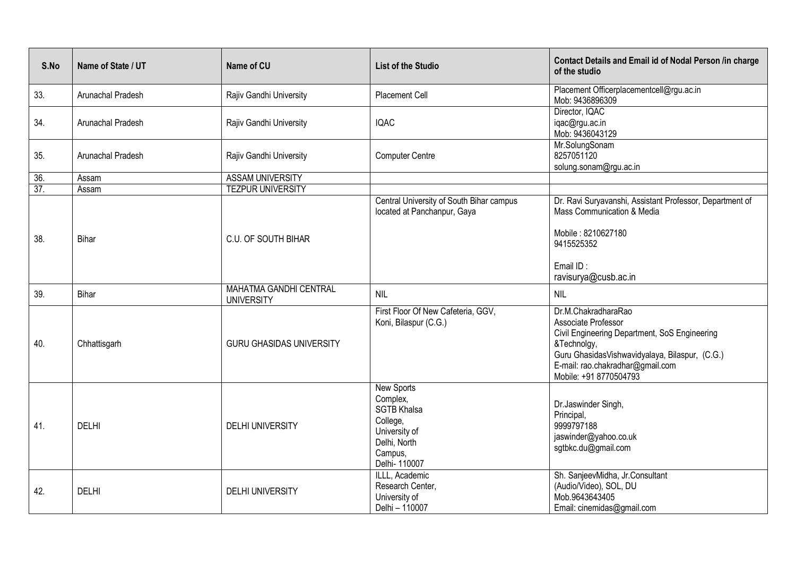| S.No | Name of State / UT | Name of CU                                  | <b>List of the Studio</b>                                                                                                    | <b>Contact Details and Email id of Nodal Person /in charge</b><br>of the studio                                                                                                                                            |
|------|--------------------|---------------------------------------------|------------------------------------------------------------------------------------------------------------------------------|----------------------------------------------------------------------------------------------------------------------------------------------------------------------------------------------------------------------------|
| 33.  | Arunachal Pradesh  | Rajiv Gandhi University                     | Placement Cell                                                                                                               | Placement Officerplacementcell@rgu.ac.in<br>Mob: 9436896309                                                                                                                                                                |
| 34.  | Arunachal Pradesh  | Rajiv Gandhi University                     | <b>IQAC</b>                                                                                                                  | Director, IQAC<br>iqac@rgu.ac.in<br>Mob: 9436043129                                                                                                                                                                        |
| 35.  | Arunachal Pradesh  | Rajiv Gandhi University                     | <b>Computer Centre</b>                                                                                                       | Mr.SolungSonam<br>8257051120<br>solung.sonam@rgu.ac.in                                                                                                                                                                     |
| 36.  | Assam              | <b>ASSAM UNIVERSITY</b>                     |                                                                                                                              |                                                                                                                                                                                                                            |
| 37.  | Assam              | <b>TEZPUR UNIVERSITY</b>                    |                                                                                                                              |                                                                                                                                                                                                                            |
| 38.  | <b>Bihar</b>       | C.U. OF SOUTH BIHAR                         | Central University of South Bihar campus<br>located at Panchanpur, Gaya                                                      | Dr. Ravi Suryavanshi, Assistant Professor, Department of<br>Mass Communication & Media<br>Mobile: 8210627180<br>9415525352<br>Email ID:<br>ravisurya@cusb.ac.in                                                            |
| 39.  | <b>Bihar</b>       | MAHATMA GANDHI CENTRAL<br><b>UNIVERSITY</b> | <b>NIL</b>                                                                                                                   | <b>NIL</b>                                                                                                                                                                                                                 |
| 40.  | Chhattisgarh       | <b>GURU GHASIDAS UNIVERSITY</b>             | First Floor Of New Cafeteria, GGV,<br>Koni, Bilaspur (C.G.)                                                                  | Dr.M.ChakradharaRao<br>Associate Professor<br>Civil Engineering Department, SoS Engineering<br>&Technolgy,<br>Guru GhasidasVishwavidyalaya, Bilaspur, (C.G.)<br>E-mail: rao.chakradhar@gmail.com<br>Mobile: +91 8770504793 |
| 41.  | <b>DELHI</b>       | <b>DELHI UNIVERSITY</b>                     | <b>New Sports</b><br>Complex,<br><b>SGTB Khalsa</b><br>College,<br>University of<br>Delhi, North<br>Campus,<br>Delhi- 110007 | Dr.Jaswinder Singh,<br>Principal,<br>9999797188<br>jaswinder@yahoo.co.uk<br>sgtbkc.du@gmail.com                                                                                                                            |
| 42.  | <b>DELHI</b>       | <b>DELHI UNIVERSITY</b>                     | ILLL, Academic<br>Research Center,<br>University of<br>Delhi - 110007                                                        | Sh. SanjeevMidha, Jr. Consultant<br>(Audio/Video), SOL, DU<br>Mob.9643643405<br>Email: cinemidas@gmail.com                                                                                                                 |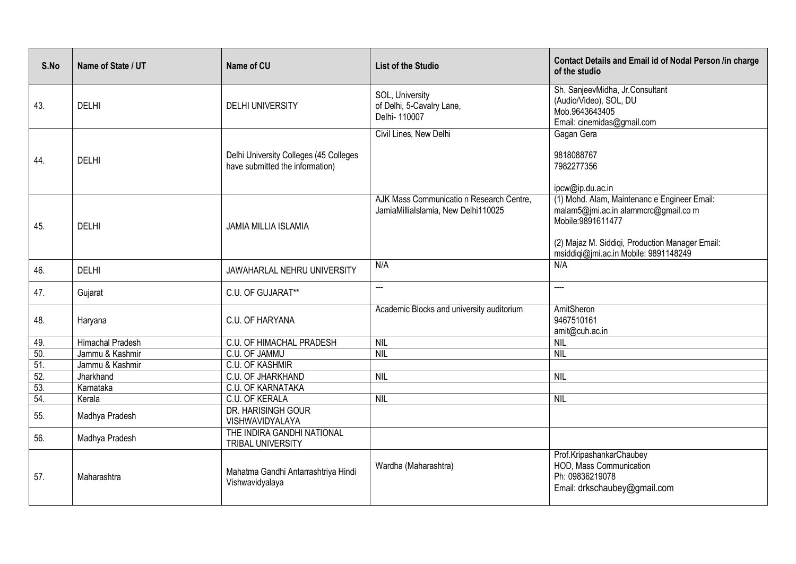| S.No | Name of State / UT      | Name of CU                                                                | <b>List of the Studio</b>                                                       | Contact Details and Email id of Nodal Person /in charge<br>of the studio                                                                                                                             |
|------|-------------------------|---------------------------------------------------------------------------|---------------------------------------------------------------------------------|------------------------------------------------------------------------------------------------------------------------------------------------------------------------------------------------------|
| 43.  | <b>DELHI</b>            | <b>DELHI UNIVERSITY</b>                                                   | SOL, University<br>of Delhi, 5-Cavalry Lane,<br>Delhi- 110007                   | Sh. SanjeevMidha, Jr. Consultant<br>(Audio/Video), SOL, DU<br>Mob.9643643405<br>Email: cinemidas@gmail.com                                                                                           |
| 44.  | <b>DELHI</b>            | Delhi University Colleges (45 Colleges<br>have submitted the information) | Civil Lines, New Delhi                                                          | Gagan Gera<br>9818088767<br>7982277356<br>ipcw@ip.du.ac.in                                                                                                                                           |
| 45.  | <b>DELHI</b>            | JAMIA MILLIA ISLAMIA                                                      | AJK Mass Communicatio n Research Centre,<br>JamiaMillialslamia, New Delhi110025 | (1) Mohd. Alam, Maintenanc e Engineer Email:<br>malam5@jmi.ac.in alammcrc@gmail.com<br>Mobile:9891611477<br>(2) Majaz M. Siddiqi, Production Manager Email:<br>msiddiqi@jmi.ac.in Mobile: 9891148249 |
| 46.  | <b>DELHI</b>            | <b>JAWAHARLAL NEHRU UNIVERSITY</b>                                        | N/A                                                                             | N/A                                                                                                                                                                                                  |
| 47.  | Gujarat                 | C.U. OF GUJARAT**                                                         | <u></u>                                                                         | <u>.</u>                                                                                                                                                                                             |
| 48.  | Haryana                 | C.U. OF HARYANA                                                           | Academic Blocks and university auditorium                                       | AmitSheron<br>9467510161<br>amit@cuh.ac.in                                                                                                                                                           |
| 49.  | <b>Himachal Pradesh</b> | <b>C.U. OF HIMACHAL PRADESH</b>                                           | NIL                                                                             | <b>NIL</b>                                                                                                                                                                                           |
| 50.  | Jammu & Kashmir         | C.U. OF JAMMU                                                             | <b>NIL</b>                                                                      | <b>NIL</b>                                                                                                                                                                                           |
| 51.  | Jammu & Kashmir         | <b>C.U. OF KASHMIR</b>                                                    |                                                                                 |                                                                                                                                                                                                      |
| 52.  | Jharkhand               | <b>C.U. OF JHARKHAND</b>                                                  | NIL                                                                             | <b>NIL</b>                                                                                                                                                                                           |
| 53.  | Karnataka               | <b>C.U. OF KARNATAKA</b>                                                  |                                                                                 |                                                                                                                                                                                                      |
| 54.  | Kerala                  | C.U. OF KERALA                                                            | <b>NIL</b>                                                                      | <b>NIL</b>                                                                                                                                                                                           |
| 55.  | Madhya Pradesh          | DR. HARISINGH GOUR<br>VISHWAVIDYALAYA                                     |                                                                                 |                                                                                                                                                                                                      |
| 56.  | Madhya Pradesh          | THE INDIRA GANDHI NATIONAL<br>TRIBAL UNIVERSITY                           |                                                                                 |                                                                                                                                                                                                      |
| 57.  | Maharashtra             | Mahatma Gandhi Antarrashtriya Hindi<br>Vishwavidyalaya                    | Wardha (Maharashtra)                                                            | Prof.KripashankarChaubey<br>HOD, Mass Communication<br>Ph: 09836219078<br>Email: drkschaubey@gmail.com                                                                                               |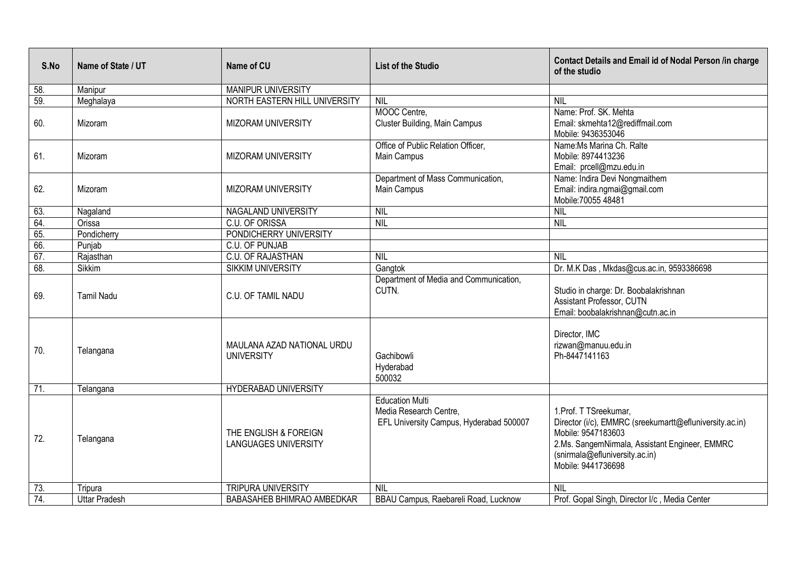| S.No              | Name of State / UT   | Name of CU                                           | <b>List of the Studio</b>                                                                   | Contact Details and Email id of Nodal Person /in charge<br>of the studio                                                                                                                                          |
|-------------------|----------------------|------------------------------------------------------|---------------------------------------------------------------------------------------------|-------------------------------------------------------------------------------------------------------------------------------------------------------------------------------------------------------------------|
| 58.               | Manipur              | <b>MANIPUR UNIVERSITY</b>                            |                                                                                             |                                                                                                                                                                                                                   |
| 59.               | Meghalaya            | NORTH EASTERN HILL UNIVERSITY                        | <b>NIL</b>                                                                                  | <b>NIL</b>                                                                                                                                                                                                        |
| 60.               | Mizoram              | MIZORAM UNIVERSITY                                   | MOOC Centre,<br>Cluster Building, Main Campus                                               | Name: Prof. SK. Mehta<br>Email: skmehta12@rediffmail.com<br>Mobile: 9436353046                                                                                                                                    |
| 61.               | Mizoram              | <b>MIZORAM UNIVERSITY</b>                            | Office of Public Relation Officer,<br>Main Campus                                           | Name: Ms Marina Ch. Ralte<br>Mobile: 8974413236<br>Email: prcell@mzu.edu.in                                                                                                                                       |
| 62.               | Mizoram              | <b>MIZORAM UNIVERSITY</b>                            | Department of Mass Communication,<br>Main Campus                                            | Name: Indira Devi Nongmaithem<br>Email: indira.ngmai@gmail.com<br>Mobile: 70055 48481                                                                                                                             |
| 63.               | Nagaland             | <b>NAGALAND UNIVERSITY</b>                           | NIL                                                                                         | NIL                                                                                                                                                                                                               |
| 64.               | Orissa               | C.U. OF ORISSA                                       | <b>NIL</b>                                                                                  | <b>NIL</b>                                                                                                                                                                                                        |
| 65.               | Pondicherry          | PONDICHERRY UNIVERSITY                               |                                                                                             |                                                                                                                                                                                                                   |
| 66.               | Punjab               | <b>C.U. OF PUNJAB</b>                                |                                                                                             |                                                                                                                                                                                                                   |
| 67.               | Rajasthan            | <b>C.U. OF RAJASTHAN</b>                             | <b>NIL</b>                                                                                  | <b>NIL</b>                                                                                                                                                                                                        |
| 68.               | Sikkim               | <b>SIKKIM UNIVERSITY</b>                             | Gangtok                                                                                     | Dr. M.K Das, Mkdas@cus.ac.in, 9593386698                                                                                                                                                                          |
| 69.               | <b>Tamil Nadu</b>    | C.U. OF TAMIL NADU                                   | Department of Media and Communication,<br>CUTN.                                             | Studio in charge: Dr. Boobalakrishnan<br>Assistant Professor, CUTN<br>Email: boobalakrishnan@cutn.ac.in                                                                                                           |
| 70.               | Telangana            | MAULANA AZAD NATIONAL URDU<br><b>UNIVERSITY</b>      | Gachibowli<br>Hyderabad<br>500032                                                           | Director, IMC<br>rizwan@manuu.edu.in<br>Ph-8447141163                                                                                                                                                             |
| $\overline{71}$ . | Telangana            | <b>HYDERABAD UNIVERSITY</b>                          |                                                                                             |                                                                                                                                                                                                                   |
| 72.               | Telangana            | THE ENGLISH & FOREIGN<br><b>LANGUAGES UNIVERSITY</b> | <b>Education Multi</b><br>Media Research Centre,<br>EFL University Campus, Hyderabad 500007 | 1. Prof. T TSreekumar,<br>Director (i/c), EMMRC (sreekumartt@efluniversity.ac.in)<br>Mobile: 9547183603<br>2.Ms. SangemNirmala, Assistant Engineer, EMMRC<br>(snirmala@efluniversity.ac.in)<br>Mobile: 9441736698 |
| 73.               | Tripura              | <b>TRIPURA UNIVERSITY</b>                            | <b>NIL</b>                                                                                  | NIL                                                                                                                                                                                                               |
| 74.               | <b>Uttar Pradesh</b> | BABASAHEB BHIMRAO AMBEDKAR                           | BBAU Campus, Raebareli Road, Lucknow                                                        | Prof. Gopal Singh, Director I/c, Media Center                                                                                                                                                                     |